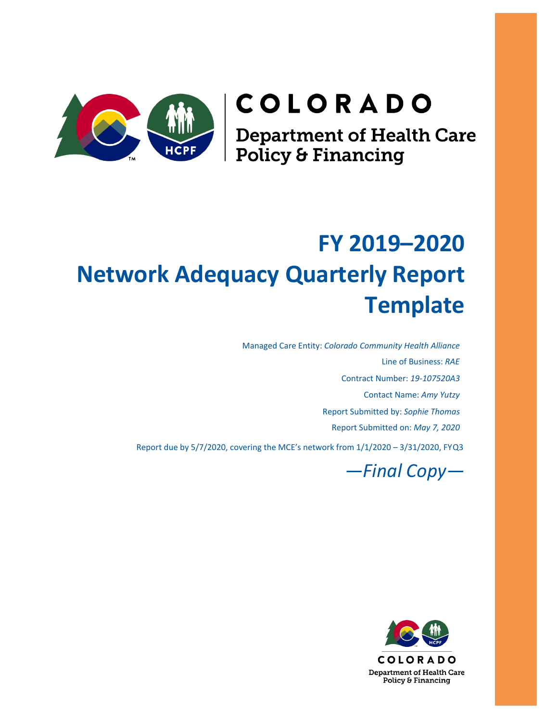# COLORADO

**Department of Health Care<br>Policy & Financing** 

## **FY 2019–2020 Network Adequacy Quarterly Report Template**

Managed Care Entity: *Colorado Community Health Alliance* Line of Business: *RAE* Contract Number: *19-107520A3* Contact Name: *Amy Yutzy* Report Submitted by: *Sophie Thomas* Report Submitted on: *May 7, 2020*

Report due by 5/7/2020, covering the MCE's network from 1/1/2020 – 3/31/2020, FYQ3



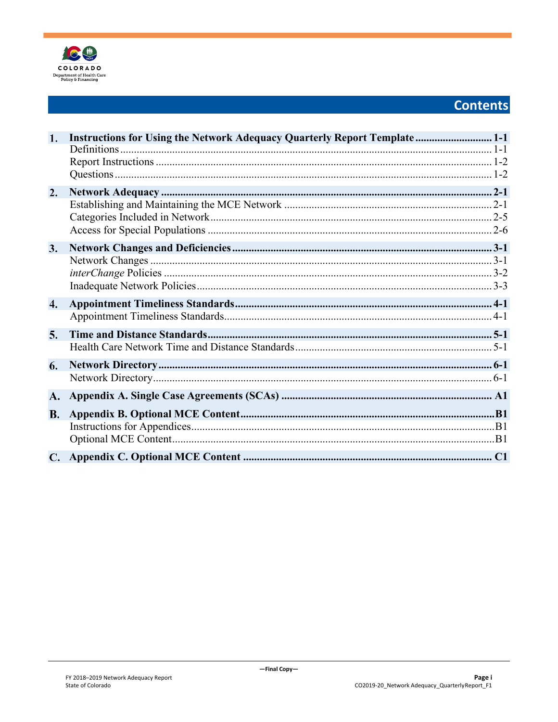

## **Contents**

| 1.               | Instructions for Using the Network Adequacy Quarterly Report Template  1-1 |
|------------------|----------------------------------------------------------------------------|
|                  |                                                                            |
|                  |                                                                            |
|                  |                                                                            |
| 2.               |                                                                            |
|                  |                                                                            |
|                  |                                                                            |
|                  |                                                                            |
| 3.               |                                                                            |
|                  |                                                                            |
|                  |                                                                            |
|                  |                                                                            |
| $\overline{4}$ . |                                                                            |
|                  |                                                                            |
| 5.               |                                                                            |
|                  |                                                                            |
| 6.               |                                                                            |
|                  |                                                                            |
| A.               |                                                                            |
| <b>B.</b>        |                                                                            |
|                  |                                                                            |
|                  |                                                                            |
|                  |                                                                            |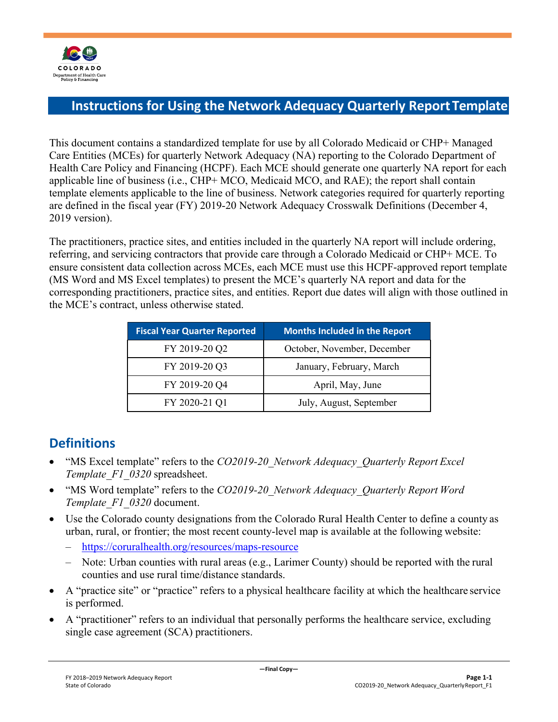

## <span id="page-2-0"></span>**Instructions for Using the Network Adequacy Quarterly Report Template**

This document contains a standardized template for use by all Colorado Medicaid or CHP+ Managed Care Entities (MCEs) for quarterly Network Adequacy (NA) reporting to the Colorado Department of Health Care Policy and Financing (HCPF). Each MCE should generate one quarterly NA report for each applicable line of business (i.e., CHP+ MCO, Medicaid MCO, and RAE); the report shall contain template elements applicable to the line of business. Network categories required for quarterly reporting are defined in the fiscal year (FY) 2019-20 Network Adequacy Crosswalk Definitions (December 4, 2019 version).

The practitioners, practice sites, and entities included in the quarterly NA report will include ordering, referring, and servicing contractors that provide care through a Colorado Medicaid or CHP+ MCE. To ensure consistent data collection across MCEs, each MCE must use this HCPF-approved report template (MS Word and MS Excel templates) to present the MCE's quarterly NA report and data for the corresponding practitioners, practice sites, and entities. Report due dates will align with those outlined in the MCE's contract, unless otherwise stated.

| <b>Fiscal Year Quarter Reported</b> | <b>Months Included in the Report</b> |
|-------------------------------------|--------------------------------------|
| FY 2019-20 Q2                       | October, November, December          |
| FY 2019-20 Q3                       | January, February, March             |
| FY 2019-20 Q4                       | April, May, June                     |
| FY 2020-21 Q1                       | July, August, September              |

## <span id="page-2-1"></span>**Definitions**

- "MS Excel template" refers to the *CO2019-20\_Network Adequacy\_Quarterly Report Excel Template\_F1\_0320* spreadsheet.
- "MS Word template" refers to the *CO2019-20\_Network Adequacy\_Quarterly Report Word Template\_F1\_0320* document.
- Use the Colorado county designations from the Colorado Rural Health Center to define a county as urban, rural, or frontier; the most recent county-level map is available at the following website:
	- <https://coruralhealth.org/resources/maps-resource>
	- Note: Urban counties with rural areas (e.g., Larimer County) should be reported with the rural counties and use rural time/distance standards.
- A "practice site" or "practice" refers to a physical healthcare facility at which the healthcare service is performed.
- A "practitioner" refers to an individual that personally performs the healthcare service, excluding single case agreement (SCA) practitioners.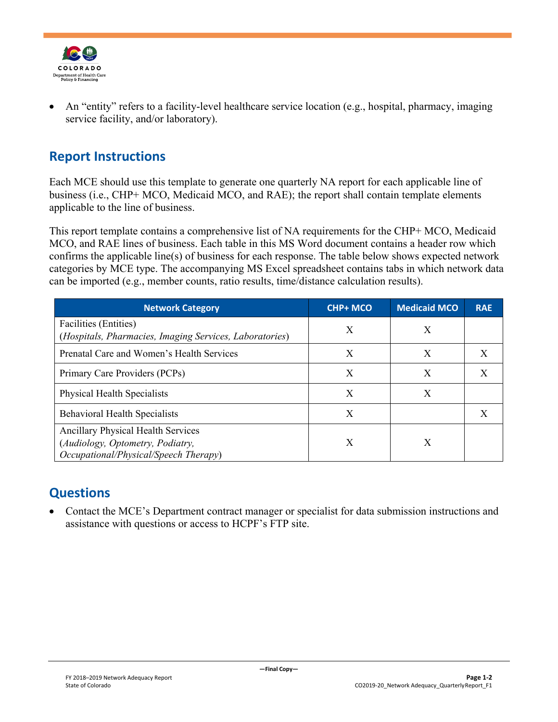

• An "entity" refers to a facility-level healthcare service location (e.g., hospital, pharmacy, imaging service facility, and/or laboratory).

## <span id="page-3-0"></span>**Report Instructions**

Each MCE should use this template to generate one quarterly NA report for each applicable line of business (i.e., CHP+ MCO, Medicaid MCO, and RAE); the report shall contain template elements applicable to the line of business.

This report template contains a comprehensive list of NA requirements for the CHP+ MCO, Medicaid MCO, and RAE lines of business. Each table in this MS Word document contains a header row which confirms the applicable line(s) of business for each response. The table below shows expected network categories by MCE type. The accompanying MS Excel spreadsheet contains tabs in which network data can be imported (e.g., member counts, ratio results, time/distance calculation results).

| <b>Network Category</b>                                                                                         | <b>CHP+ MCO</b> | <b>Medicaid MCO</b> | <b>RAE</b> |
|-----------------------------------------------------------------------------------------------------------------|-----------------|---------------------|------------|
| Facilities (Entities)<br>(Hospitals, Pharmacies, Imaging Services, Laboratories)                                | X               | X                   |            |
| Prenatal Care and Women's Health Services                                                                       | X               | X                   | X          |
| Primary Care Providers (PCPs)                                                                                   | X               | X                   | X          |
| Physical Health Specialists                                                                                     | X               | X                   |            |
| <b>Behavioral Health Specialists</b>                                                                            | X               |                     | X          |
| Ancillary Physical Health Services<br>(Audiology, Optometry, Podiatry,<br>Occupational/Physical/Speech Therapy) | X               | X                   |            |

## <span id="page-3-1"></span>**Questions**

• Contact the MCE's Department contract manager or specialist for data submission instructions and assistance with questions or access to HCPF's FTP site.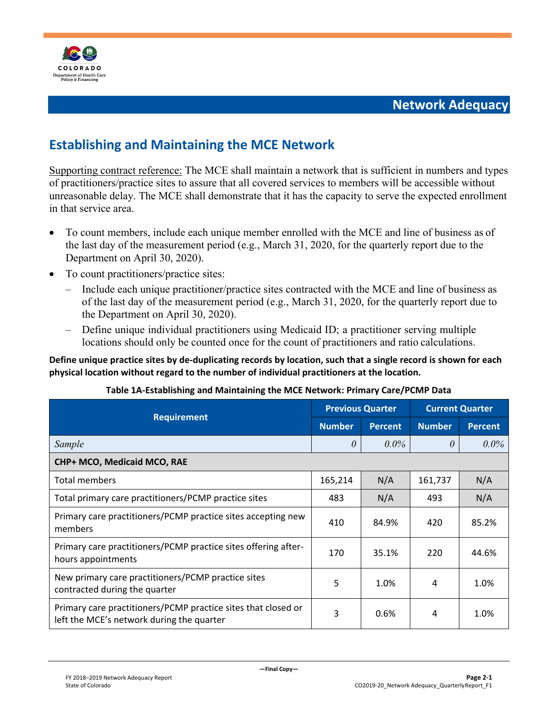

## <span id="page-4-1"></span><span id="page-4-0"></span>**Establishing and Maintaining the MCE Network**

Supporting contract reference: The MCE shall maintain a network that is sufficient in numbers and types of practitioners/practice sites to assure that all covered services to members will be accessible without unreasonable delay. The MCE shall demonstrate that it has the capacity to serve the expected enrollment in that service area.

- To count members, include each unique member enrolled with the MCE and line of business as of the last day of the measurement period (e.g., March 31, 2020, for the quarterly report due to the Department on April 30, 2020).
- To count practitioners/practice sites:
	- Include each unique practitioner/practice sites contracted with the MCE and line of business as of the last day of the measurement period (e.g., March 31, 2020, for the quarterly report due to the Department on April 30, 2020).
	- Define unique individual practitioners using Medicaid ID; a practitioner serving multiple locations should only be counted once for the count of practitioners and ratio calculations.

#### **Define unique practice sites by de-duplicating records by location, such that a single record is shown for each physical location without regard to the number of individual practitioners at the location.**

#### **Table 1A-Establishing and Maintaining the MCE Network: Primary Care/PCMP Data**

|                                                                                                            | <b>Previous Quarter</b> |                | <b>Current Quarter</b> |                |
|------------------------------------------------------------------------------------------------------------|-------------------------|----------------|------------------------|----------------|
| <b>Requirement</b>                                                                                         | <b>Number</b>           | <b>Percent</b> | <b>Number</b>          | <b>Percent</b> |
| Sample                                                                                                     | $\theta$                | $0.0\%$        | $\theta$               | $0.0\%$        |
| CHP+ MCO, Medicaid MCO, RAE                                                                                |                         |                |                        |                |
| Total members                                                                                              | 165,214                 | N/A            | 161,737                | N/A            |
| Total primary care practitioners/PCMP practice sites                                                       | 483                     | N/A            | 493                    | N/A            |
| Primary care practitioners/PCMP practice sites accepting new<br>members                                    | 410                     | 84.9%          | 420                    | 85.2%          |
| Primary care practitioners/PCMP practice sites offering after-<br>hours appointments                       | 170                     | 35.1%          | 220                    | 44.6%          |
| New primary care practitioners/PCMP practice sites<br>contracted during the quarter                        | 5                       | 1.0%           | 4                      | 1.0%           |
| Primary care practitioners/PCMP practice sites that closed or<br>left the MCE's network during the quarter | 3                       | 0.6%           | 4                      | 1.0%           |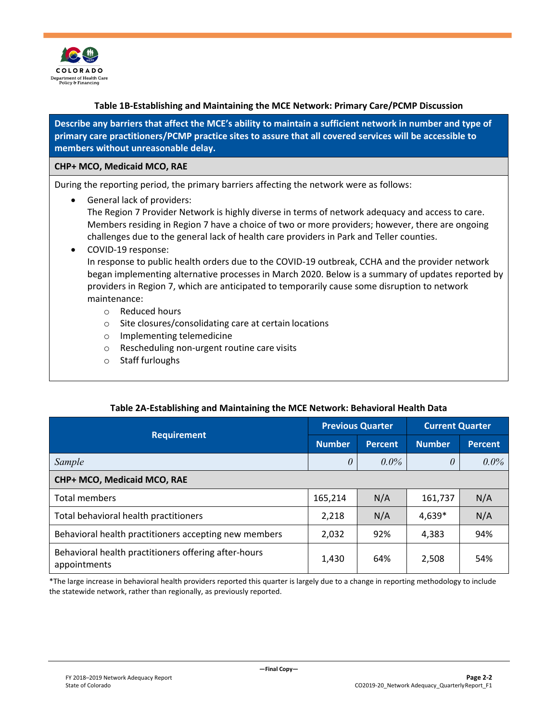

#### **Table 1B-Establishing and Maintaining the MCE Network: Primary Care/PCMP Discussion**

**Describe any barriers that affect the MCE's ability to maintain a sufficient network in number and type of primary care practitioners/PCMP practice sites to assure that all covered services will be accessible to members without unreasonable delay.**

#### **CHP+ MCO, Medicaid MCO, RAE**

During the reporting period, the primary barriers affecting the network were as follows:

• General lack of providers:

The Region 7 Provider Network is highly diverse in terms of network adequacy and access to care. Members residing in Region 7 have a choice of two or more providers; however, there are ongoing challenges due to the general lack of health care providers in Park and Teller counties.

#### • COVID-19 response:

In response to public health orders due to the COVID-19 outbreak, CCHA and the provider network began implementing alternative processes in March 2020. Below is a summary of updates reported by providers in Region 7, which are anticipated to temporarily cause some disruption to network maintenance:

- o Reduced hours
- o Site closures/consolidating care at certain locations
- o Implementing telemedicine
- o Rescheduling non-urgent routine care visits
- o Staff furloughs

#### **Table 2A-Establishing and Maintaining the MCE Network: Behavioral Health Data**

|                                                                      |               | <b>Previous Quarter</b> | <b>Current Quarter</b> |                |
|----------------------------------------------------------------------|---------------|-------------------------|------------------------|----------------|
| <b>Requirement</b>                                                   | <b>Number</b> | <b>Percent</b>          | <b>Number</b>          | <b>Percent</b> |
| Sample                                                               | 0             | $0.0\%$                 | $\theta$               | $0.0\%$        |
| CHP+ MCO, Medicaid MCO, RAE                                          |               |                         |                        |                |
| Total members                                                        | 165,214       | N/A                     | 161,737                | N/A            |
| Total behavioral health practitioners                                | 2,218         | N/A                     | 4,639*                 | N/A            |
| Behavioral health practitioners accepting new members                | 2,032         | 92%                     | 4,383                  | 94%            |
| Behavioral health practitioners offering after-hours<br>appointments | 1,430         | 64%                     | 2,508                  | 54%            |

\*The large increase in behavioral health providers reported this quarter is largely due to a change in reporting methodology to include the statewide network, rather than regionally, as previously reported.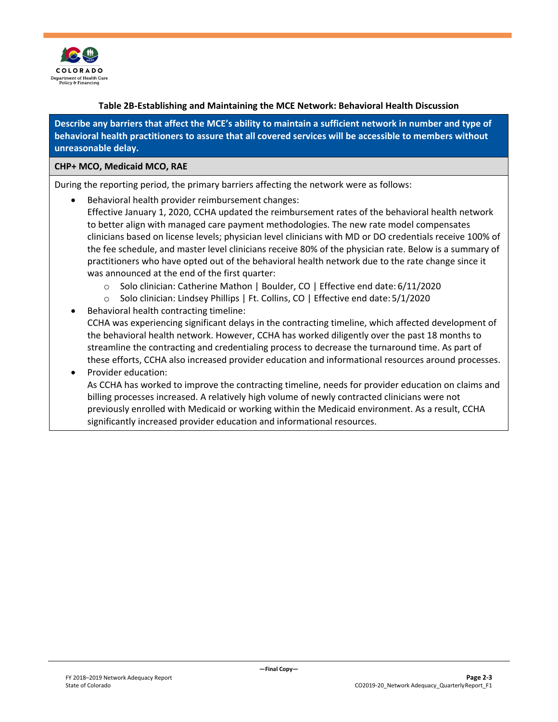

#### **Table 2B-Establishing and Maintaining the MCE Network: Behavioral Health Discussion**

**Describe any barriers that affect the MCE's ability to maintain a sufficient network in number and type of behavioral health practitioners to assure that all covered services will be accessible to members without unreasonable delay.**

#### **CHP+ MCO, Medicaid MCO, RAE**

During the reporting period, the primary barriers affecting the network were as follows:

- Behavioral health provider reimbursement changes:
	- Effective January 1, 2020, CCHA updated the reimbursement rates of the behavioral health network to better align with managed care payment methodologies. The new rate model compensates clinicians based on license levels; physician level clinicians with MD or DO credentials receive 100% of the fee schedule, and master level clinicians receive 80% of the physician rate. Below is a summary of practitioners who have opted out of the behavioral health network due to the rate change since it was announced at the end of the first quarter:
		- o Solo clinician: Catherine Mathon | Boulder, CO | Effective end date: 6/11/2020
		- o Solo clinician: Lindsey Phillips | Ft. Collins, CO | Effective end date: 5/1/2020
- Behavioral health contracting timeline: CCHA was experiencing significant delays in the contracting timeline, which affected development of the behavioral health network. However, CCHA has worked diligently over the past 18 months to streamline the contracting and credentialing process to decrease the turnaround time. As part of these efforts, CCHA also increased provider education and informational resources around processes.

#### • Provider education: As CCHA has worked to improve the contracting timeline, needs for provider education on claims and billing processes increased. A relatively high volume of newly contracted clinicians were not previously enrolled with Medicaid or working within the Medicaid environment. As a result, CCHA significantly increased provider education and informational resources.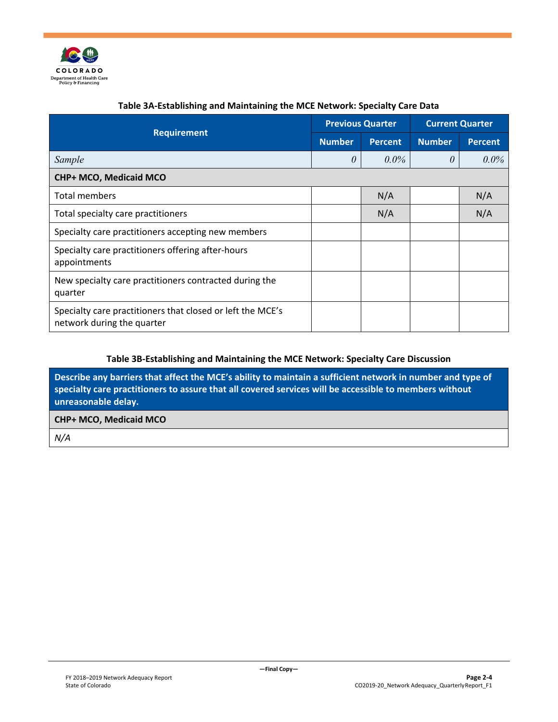

|                                                                                          | <b>Previous Quarter</b> |                | <b>Current Quarter</b> |                |
|------------------------------------------------------------------------------------------|-------------------------|----------------|------------------------|----------------|
| <b>Requirement</b>                                                                       | <b>Number</b>           | <b>Percent</b> | <b>Number</b>          | <b>Percent</b> |
| Sample                                                                                   | $\theta$                | $0.0\%$        | $\theta$               | $0.0\%$        |
| CHP+ MCO, Medicaid MCO                                                                   |                         |                |                        |                |
| Total members                                                                            |                         | N/A            |                        | N/A            |
| Total specialty care practitioners                                                       |                         | N/A            |                        | N/A            |
| Specialty care practitioners accepting new members                                       |                         |                |                        |                |
| Specialty care practitioners offering after-hours<br>appointments                        |                         |                |                        |                |
| New specialty care practitioners contracted during the<br>quarter                        |                         |                |                        |                |
| Specialty care practitioners that closed or left the MCE's<br>network during the quarter |                         |                |                        |                |

#### **Table 3A-Establishing and Maintaining the MCE Network: Specialty Care Data**

#### **Table 3B-Establishing and Maintaining the MCE Network: Specialty Care Discussion**

**Describe any barriers that affect the MCE's ability to maintain a sufficient network in number and type of specialty care practitioners to assure that all covered services will be accessible to members without unreasonable delay.**

#### **CHP+ MCO, Medicaid MCO**

*N/A*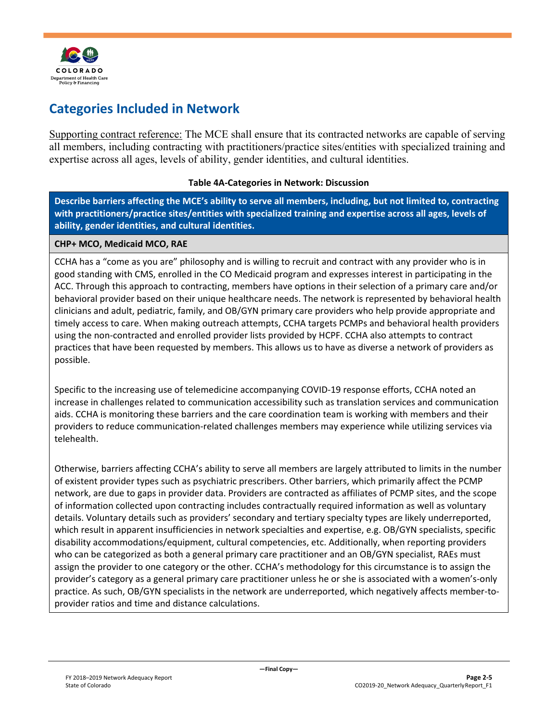

## <span id="page-8-0"></span>**Categories Included in Network**

Supporting contract reference: The MCE shall ensure that its contracted networks are capable of serving all members, including contracting with practitioners/practice sites/entities with specialized training and expertise across all ages, levels of ability, gender identities, and cultural identities.

#### **Table 4A-Categories in Network: Discussion**

**Describe barriers affecting the MCE's ability to serve all members, including, but not limited to, contracting with practitioners/practice sites/entities with specialized training and expertise across all ages, levels of ability, gender identities, and cultural identities.**

#### **CHP+ MCO, Medicaid MCO, RAE**

CCHA has a "come as you are" philosophy and is willing to recruit and contract with any provider who is in good standing with CMS, enrolled in the CO Medicaid program and expresses interest in participating in the ACC. Through this approach to contracting, members have options in their selection of a primary care and/or behavioral provider based on their unique healthcare needs. The network is represented by behavioral health clinicians and adult, pediatric, family, and OB/GYN primary care providers who help provide appropriate and timely access to care. When making outreach attempts, CCHA targets PCMPs and behavioral health providers using the non-contracted and enrolled provider lists provided by HCPF. CCHA also attempts to contract practices that have been requested by members. This allows us to have as diverse a network of providers as possible.

Specific to the increasing use of telemedicine accompanying COVID-19 response efforts, CCHA noted an increase in challenges related to communication accessibility such as translation services and communication aids. CCHA is monitoring these barriers and the care coordination team is working with members and their providers to reduce communication-related challenges members may experience while utilizing services via telehealth.

Otherwise, barriers affecting CCHA's ability to serve all members are largely attributed to limits in the number of existent provider types such as psychiatric prescribers. Other barriers, which primarily affect the PCMP network, are due to gaps in provider data. Providers are contracted as affiliates of PCMP sites, and the scope of information collected upon contracting includes contractually required information as well as voluntary details. Voluntary details such as providers' secondary and tertiary specialty types are likely underreported, which result in apparent insufficiencies in network specialties and expertise, e.g. OB/GYN specialists, specific disability accommodations/equipment, cultural competencies, etc. Additionally, when reporting providers who can be categorized as both a general primary care practitioner and an OB/GYN specialist, RAEs must assign the provider to one category or the other. CCHA's methodology for this circumstance is to assign the provider's category as a general primary care practitioner unless he or she is associated with a women's-only practice. As such, OB/GYN specialists in the network are underreported, which negatively affects member-toprovider ratios and time and distance calculations.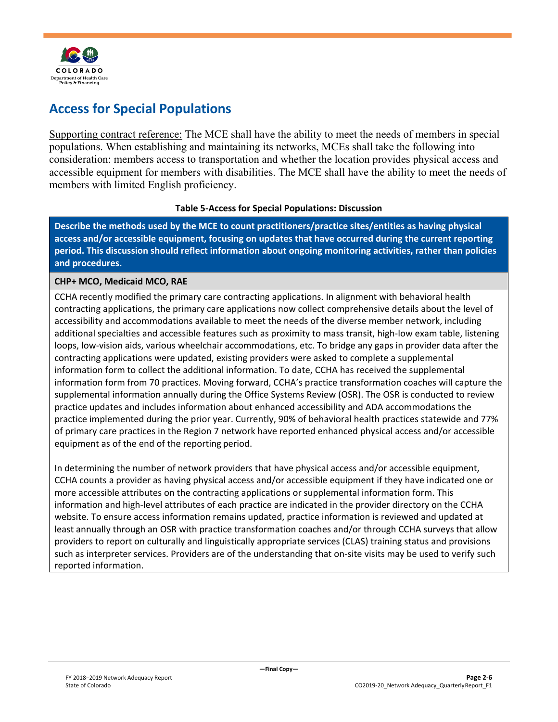

## <span id="page-9-0"></span>**Access for Special Populations**

Supporting contract reference: The MCE shall have the ability to meet the needs of members in special populations. When establishing and maintaining its networks, MCEs shall take the following into consideration: members access to transportation and whether the location provides physical access and accessible equipment for members with disabilities. The MCE shall have the ability to meet the needs of members with limited English proficiency.

#### **Table 5-Access for Special Populations: Discussion**

**Describe the methods used by the MCE to count practitioners/practice sites/entities as having physical access and/or accessible equipment, focusing on updates that have occurred during the current reporting period. This discussion should reflect information about ongoing monitoring activities, rather than policies and procedures.**

#### **CHP+ MCO, Medicaid MCO, RAE**

CCHA recently modified the primary care contracting applications. In alignment with behavioral health contracting applications, the primary care applications now collect comprehensive details about the level of accessibility and accommodations available to meet the needs of the diverse member network, including additional specialties and accessible features such as proximity to mass transit, high-low exam table, listening loops, low-vision aids, various wheelchair accommodations, etc. To bridge any gaps in provider data after the contracting applications were updated, existing providers were asked to complete a supplemental information form to collect the additional information. To date, CCHA has received the supplemental information form from 70 practices. Moving forward, CCHA's practice transformation coaches will capture the supplemental information annually during the Office Systems Review (OSR). The OSR is conducted to review practice updates and includes information about enhanced accessibility and ADA accommodations the practice implemented during the prior year. Currently, 90% of behavioral health practices statewide and 77% of primary care practices in the Region 7 network have reported enhanced physical access and/or accessible equipment as of the end of the reporting period.

In determining the number of network providers that have physical access and/or accessible equipment, CCHA counts a provider as having physical access and/or accessible equipment if they have indicated one or more accessible attributes on the contracting applications or supplemental information form. This information and high-level attributes of each practice are indicated in the provider directory on the CCHA website. To ensure access information remains updated, practice information is reviewed and updated at least annually through an OSR with practice transformation coaches and/or through CCHA surveys that allow providers to report on culturally and linguistically appropriate services (CLAS) training status and provisions such as interpreter services. Providers are of the understanding that on-site visits may be used to verify such reported information.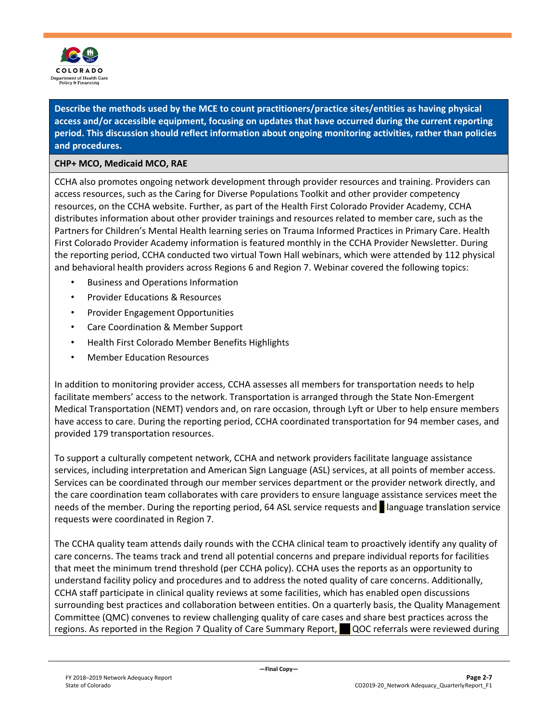

**Describe the methods used by the MCE to count practitioners/practice sites/entities as having physical access and/or accessible equipment, focusing on updates that have occurred during the current reporting period. This discussion should reflect information about ongoing monitoring activities, rather than policies and procedures.**

#### **CHP+ MCO, Medicaid MCO, RAE**

CCHA also promotes ongoing network development through provider resources and training. Providers can access resources, such as the Caring for Diverse Populations Toolkit and other provider competency resources, on the CCHA website. Further, as part of the Health First Colorado Provider Academy, CCHA distributes information about other provider trainings and resources related to member care, such as the Partners for Children's Mental Health learning series on Trauma Informed Practices in Primary Care. Health First Colorado Provider Academy information is featured monthly in the CCHA Provider Newsletter. During the reporting period, CCHA conducted two virtual Town Hall webinars, which were attended by 112 physical and behavioral health providers across Regions 6 and Region 7. Webinar covered the following topics:

- Business and Operations Information
- Provider Educations & Resources
- Provider Engagement Opportunities
- Care Coordination & Member Support
- Health First Colorado Member Benefits Highlights
- Member Education Resources

In addition to monitoring provider access, CCHA assesses all members for transportation needs to help facilitate members' access to the network. Transportation is arranged through the State Non-Emergent Medical Transportation (NEMT) vendors and, on rare occasion, through Lyft or Uber to help ensure members have access to care. During the reporting period, CCHA coordinated transportation for 94 member cases, and provided 179 transportation resources.

To support a culturally competent network, CCHA and network providers facilitate language assistance services, including interpretation and American Sign Language (ASL) services, at all points of member access. Services can be coordinated through our member services department or the provider network directly, and the care coordination team collaborates with care providers to ensure language assistance services meet the needs of the member. During the reporting period, 64 ASL service requests and language translation service requests were coordinated in Region 7.

The CCHA quality team attends daily rounds with the CCHA clinical team to proactively identify any quality of care concerns. The teams track and trend all potential concerns and prepare individual reports for facilities that meet the minimum trend threshold (per CCHA policy). CCHA uses the reports as an opportunity to understand facility policy and procedures and to address the noted quality of care concerns. Additionally, CCHA staff participate in clinical quality reviews at some facilities, which has enabled open discussions surrounding best practices and collaboration between entities. On a quarterly basis, the Quality Management Committee (QMC) convenes to review challenging quality of care cases and share best practices across the regions. As reported in the Region 7 Quality of Care Summary Report, QQC referrals were reviewed during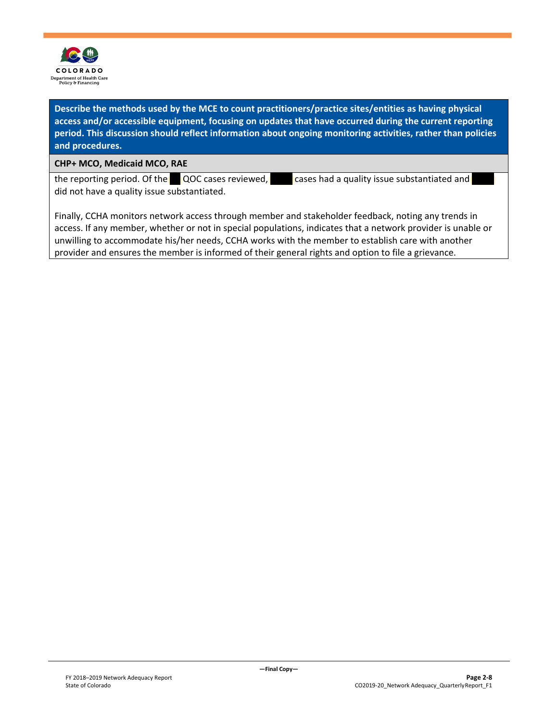

**Describe the methods used by the MCE to count practitioners/practice sites/entities as having physical access and/or accessible equipment, focusing on updates that have occurred during the current reporting period. This discussion should reflect information about ongoing monitoring activities, rather than policies and procedures.**

**CHP+ MCO, Medicaid MCO, RAE**

the reporting period. Of the  $\blacksquare$  QOC cases reviewed,  $\blacksquare$  cases had a quality issue substantiated and did not have a quality issue substantiated.

Finally, CCHA monitors network access through member and stakeholder feedback, noting any trends in access. If any member, whether or not in special populations, indicates that a network provider is unable or unwilling to accommodate his/her needs, CCHA works with the member to establish care with another provider and ensures the member is informed of their general rights and option to file a grievance.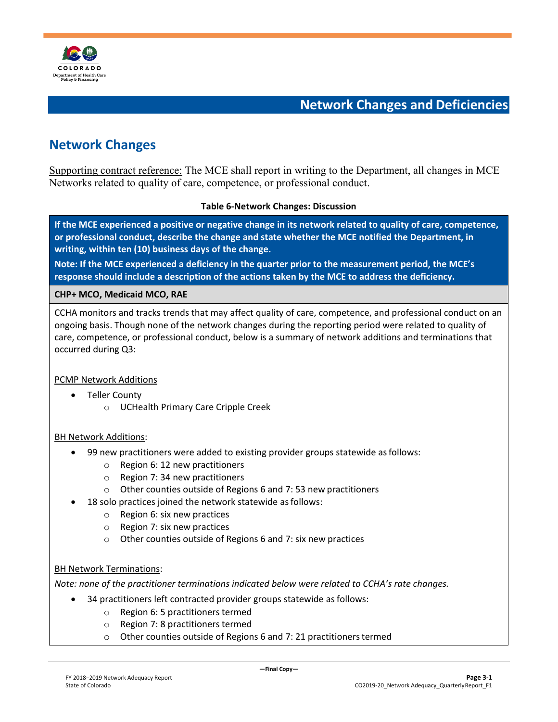

**Network Changes and Deficiencies**

## <span id="page-12-1"></span><span id="page-12-0"></span>**Network Changes**

Supporting contract reference: The MCE shall report in writing to the Department, all changes in MCE Networks related to quality of care, competence, or professional conduct.

#### **Table 6-Network Changes: Discussion**

**If the MCE experienced a positive or negative change in its network related to quality of care, competence, or professional conduct, describe the change and state whether the MCE notified the Department, in writing, within ten (10) business days of the change.**

**Note: If the MCE experienced a deficiency in the quarter prior to the measurement period, the MCE's response should include a description of the actions taken by the MCE to address the deficiency.**

#### **CHP+ MCO, Medicaid MCO, RAE**

CCHA monitors and tracks trends that may affect quality of care, competence, and professional conduct on an ongoing basis. Though none of the network changes during the reporting period were related to quality of care, competence, or professional conduct, below is a summary of network additions and terminations that occurred during Q3:

#### PCMP Network Additions

- Teller County
	- o UCHealth Primary Care Cripple Creek

#### BH Network Additions:

- 99 new practitioners were added to existing provider groups statewide asfollows:
	- o Region 6: 12 new practitioners
	- o Region 7: 34 new practitioners
	- o Other counties outside of Regions 6 and 7: 53 new practitioners
- 18 solo practices joined the network statewide as follows:
	- o Region 6: six new practices
	- o Region 7: six new practices
	- o Other counties outside of Regions 6 and 7: six new practices

#### BH Network Terminations:

*Note: none of the practitioner terminations indicated below were related to CCHA's rate changes.*

- 34 practitioners left contracted provider groups statewide as follows:
	- $\circ$  Region 6: 5 practitioners termed
	- $\circ$  Region 7: 8 practitioners termed
	- o Other counties outside of Regions 6 and 7: 21 practitionerstermed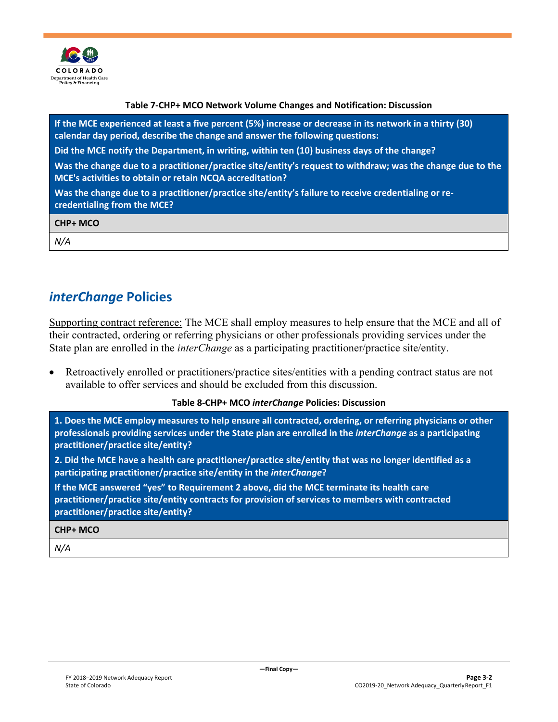

#### **Table 7-CHP+ MCO Network Volume Changes and Notification: Discussion**

**If the MCE experienced at least a five percent (5%) increase or decrease in its network in a thirty (30) calendar day period, describe the change and answer the following questions:**

**Did the MCE notify the Department, in writing, within ten (10) business days of the change?**

**Was the change due to a practitioner/practice site/entity's request to withdraw; was the change due to the MCE's activities to obtain or retain NCQA accreditation?**

**Was the change due to a practitioner/practice site/entity's failure to receive credentialing or recredentialing from the MCE?**

| <b>CHP+ MCO</b> |  |  |
|-----------------|--|--|
| N/A             |  |  |

### <span id="page-13-0"></span>*interChange* **Policies**

Supporting contract reference: The MCE shall employ measures to help ensure that the MCE and all of their contracted, ordering or referring physicians or other professionals providing services under the State plan are enrolled in the *interChange* as a participating practitioner/practice site/entity.

• Retroactively enrolled or practitioners/practice sites/entities with a pending contract status are not available to offer services and should be excluded from this discussion.

#### **Table 8-CHP+ MCO** *interChange* **Policies: Discussion**

1. Does the MCE employ measures to help ensure all contracted, ordering, or referring physicians or other **professionals providing services under the State plan are enrolled in the** *interChange* **as a participating practitioner/practice site/entity?**

**2. Did the MCE have a health care practitioner/practice site/entity that was no longer identified as a participating practitioner/practice site/entity in the** *interChange***?**

**If the MCE answered "yes" to Requirement 2 above, did the MCE terminate its health care practitioner/practice site/entity contracts for provision of services to members with contracted practitioner/practice site/entity?**

#### **CHP+ MCO**

*N/A*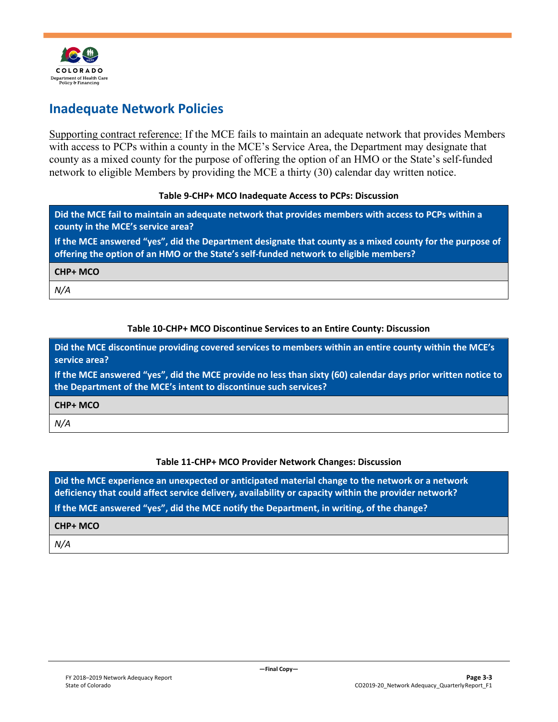

## <span id="page-14-0"></span>**Inadequate Network Policies**

Supporting contract reference: If the MCE fails to maintain an adequate network that provides Members with access to PCPs within a county in the MCE's Service Area, the Department may designate that county as a mixed county for the purpose of offering the option of an HMO or the State's self-funded network to eligible Members by providing the MCE a thirty (30) calendar day written notice.

#### **Table 9-CHP+ MCO Inadequate Access to PCPs: Discussion**

**Did the MCE fail to maintain an adequate network that provides members with access to PCPs within a county in the MCE's service area?**

**If the MCE answered "yes", did the Department designate that county as a mixed county for the purpose of offering the option of an HMO or the State's self-funded network to eligible members?**

**CHP+ MCO**

*N/A*

#### **Table 10-CHP+ MCO Discontinue Services to an Entire County: Discussion**

**Did the MCE discontinue providing covered services to members within an entire county within the MCE's service area?**

**If the MCE answered "yes", did the MCE provide no less than sixty (60) calendar days prior written notice to the Department of the MCE's intent to discontinue such services?**

#### **CHP+ MCO**

*N/A*

#### **Table 11-CHP+ MCO Provider Network Changes: Discussion**

**Did the MCE experience an unexpected or anticipated material change to the network or a network deficiency that could affect service delivery, availability or capacity within the provider network? If the MCE answered "yes", did the MCE notify the Department, in writing, of the change?**

**CHP+ MCO**

*N/A*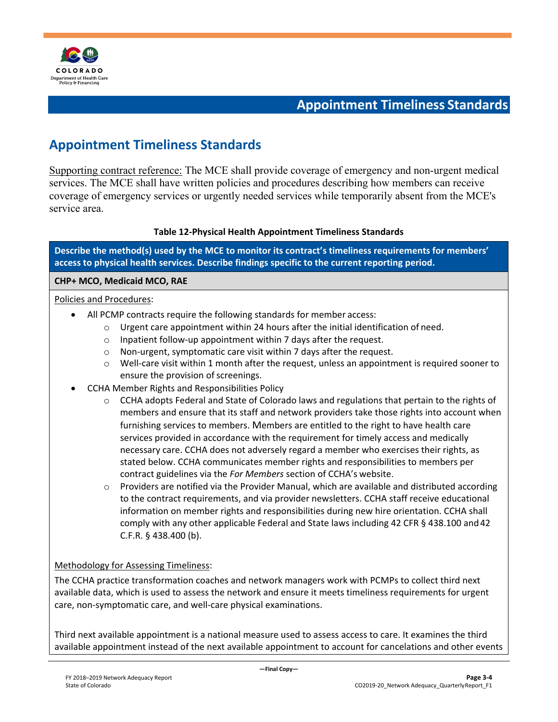

## **Appointment Timeliness Standards**

## <span id="page-15-1"></span><span id="page-15-0"></span>**Appointment Timeliness Standards**

Supporting contract reference: The MCE shall provide coverage of emergency and non-urgent medical services. The MCE shall have written policies and procedures describing how members can receive coverage of emergency services or urgently needed services while temporarily absent from the MCE's service area.

#### **Table 12-Physical Health Appointment Timeliness Standards**

**Describe the method(s) used by the MCE to monitor its contract's timeliness requirements for members' access to physical health services. Describe findings specific to the current reporting period.**

#### **CHP+ MCO, Medicaid MCO, RAE**

#### Policies and Procedures:

- All PCMP contracts require the following standards for member access:
	- o Urgent care appointment within 24 hours after the initial identification of need.
	- o Inpatient follow-up appointment within 7 days after the request.
	- o Non-urgent, symptomatic care visit within 7 days after the request.
	- $\circ$  Well-care visit within 1 month after the request, unless an appointment is required sooner to ensure the provision of screenings.
- CCHA Member Rights and Responsibilities Policy
	- o CCHA adopts Federal and State of Colorado laws and regulations that pertain to the rights of members and ensure that its staff and network providers take those rights into account when furnishing services to members. Members are entitled to the right to have health care services provided in accordance with the requirement for timely access and medically necessary care. CCHA does not adversely regard a member who exercises their rights, as stated below. CCHA communicates member rights and responsibilities to members per contract guidelines via the *For Members* section of CCHA's website.
	- o Providers are notified via the Provider Manual, which are available and distributed according to the contract requirements, and via provider newsletters. CCHA staff receive educational information on member rights and responsibilities during new hire orientation. CCHA shall comply with any other applicable Federal and State laws including 42 CFR § 438.100 and42 C.F.R. § 438.400 (b).

#### Methodology for Assessing Timeliness:

The CCHA practice transformation coaches and network managers work with PCMPs to collect third next available data, which is used to assess the network and ensure it meets timeliness requirements for urgent care, non-symptomatic care, and well-care physical examinations.

Third next available appointment is a national measure used to assess access to care. It examines the third available appointment instead of the next available appointment to account for cancelations and other events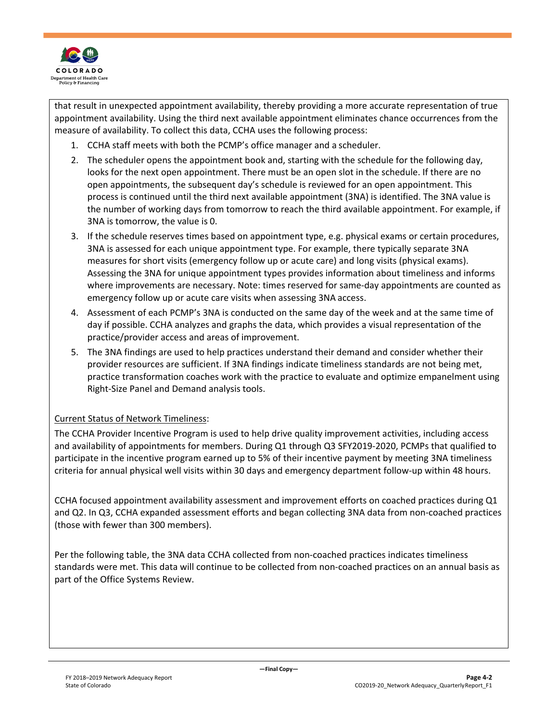

that result in unexpected appointment availability, thereby providing a more accurate representation of true appointment availability. Using the third next available appointment eliminates chance occurrences from the measure of availability. To collect this data, CCHA uses the following process:

- 1. CCHA staff meets with both the PCMP's office manager and a scheduler.
- 2. The scheduler opens the appointment book and, starting with the schedule for the following day, looks for the next open appointment. There must be an open slot in the schedule. If there are no open appointments, the subsequent day's schedule is reviewed for an open appointment. This process is continued until the third next available appointment (3NA) is identified. The 3NA value is the number of working days from tomorrow to reach the third available appointment. For example, if 3NA is tomorrow, the value is 0.
- 3. If the schedule reserves times based on appointment type, e.g. physical exams or certain procedures, 3NA is assessed for each unique appointment type. For example, there typically separate 3NA measures for short visits (emergency follow up or acute care) and long visits (physical exams). Assessing the 3NA for unique appointment types provides information about timeliness and informs where improvements are necessary. Note: times reserved for same-day appointments are counted as emergency follow up or acute care visits when assessing 3NA access.
- 4. Assessment of each PCMP's 3NA is conducted on the same day of the week and at the same time of day if possible. CCHA analyzes and graphs the data, which provides a visual representation of the practice/provider access and areas of improvement.
- 5. The 3NA findings are used to help practices understand their demand and consider whether their provider resources are sufficient. If 3NA findings indicate timeliness standards are not being met, practice transformation coaches work with the practice to evaluate and optimize empanelment using Right-Size Panel and Demand analysis tools.

#### Current Status of Network Timeliness:

The CCHA Provider Incentive Program is used to help drive quality improvement activities, including access and availability of appointments for members. During Q1 through Q3 SFY2019-2020, PCMPs that qualified to participate in the incentive program earned up to 5% of their incentive payment by meeting 3NA timeliness criteria for annual physical well visits within 30 days and emergency department follow-up within 48 hours.

CCHA focused appointment availability assessment and improvement efforts on coached practices during Q1 and Q2. In Q3, CCHA expanded assessment efforts and began collecting 3NA data from non-coached practices (those with fewer than 300 members).

Per the following table, the 3NA data CCHA collected from non-coached practices indicates timeliness standards were met. This data will continue to be collected from non-coached practices on an annual basis as part of the Office Systems Review.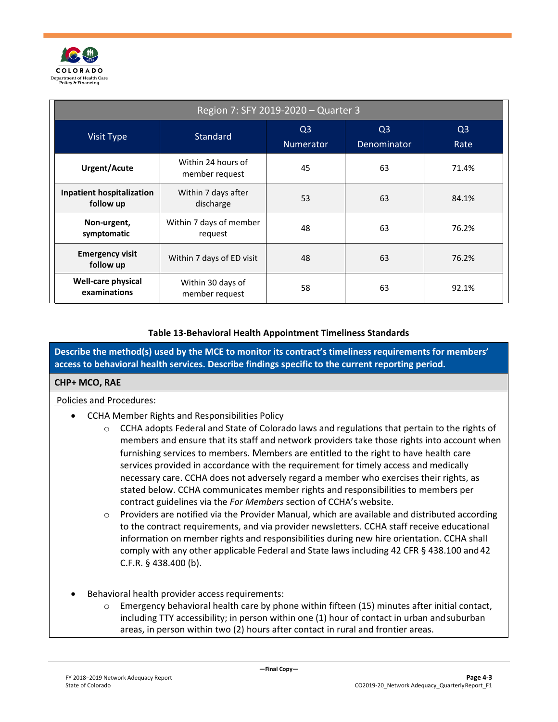

| Region 7: SFY 2019-2020 - Quarter 3                               |                                     |                                    |                               |                        |  |
|-------------------------------------------------------------------|-------------------------------------|------------------------------------|-------------------------------|------------------------|--|
| <b>Visit Type</b>                                                 | Standard                            | Q <sub>3</sub><br><b>Numerator</b> | Q <sub>3</sub><br>Denominator | Q <sub>3</sub><br>Rate |  |
| Within 24 hours of<br>45<br><b>Urgent/Acute</b><br>member request |                                     |                                    | 63                            | 71.4%                  |  |
| <b>Inpatient hospitalization</b><br>follow up                     | Within 7 days after<br>discharge    | 53                                 | 63                            | 84.1%                  |  |
| Non-urgent,<br>symptomatic                                        | Within 7 days of member<br>request  | 48                                 | 63                            | 76.2%                  |  |
| <b>Emergency visit</b><br>follow up                               | Within 7 days of ED visit           | 48                                 | 63                            | 76.2%                  |  |
| Well-care physical<br>examinations                                | Within 30 days of<br>member request | 58                                 | 63                            | 92.1%                  |  |

#### **Table 13-Behavioral Health Appointment Timeliness Standards**

**Describe the method(s) used by the MCE to monitor its contract's timeliness requirements for members' access to behavioral health services. Describe findings specific to the current reporting period.**

#### **CHP+ MCO, RAE**

#### Policies and Procedures:

- CCHA Member Rights and Responsibilities Policy
	- $\circ$  CCHA adopts Federal and State of Colorado laws and regulations that pertain to the rights of members and ensure that its staff and network providers take those rights into account when furnishing services to members. Members are entitled to the right to have health care services provided in accordance with the requirement for timely access and medically necessary care. CCHA does not adversely regard a member who exercises their rights, as stated below. CCHA communicates member rights and responsibilities to members per contract guidelines via the *For Members* section of CCHA's website.
	- $\circ$  Providers are notified via the Provider Manual, which are available and distributed according to the contract requirements, and via provider newsletters. CCHA staff receive educational information on member rights and responsibilities during new hire orientation. CCHA shall comply with any other applicable Federal and State laws including 42 CFR § 438.100 and42 C.F.R. § 438.400 (b).
- Behavioral health provider access requirements:
	- $\circ$  Emergency behavioral health care by phone within fifteen (15) minutes after initial contact, including TTY accessibility; in person within one (1) hour of contact in urban andsuburban areas, in person within two (2) hours after contact in rural and frontier areas.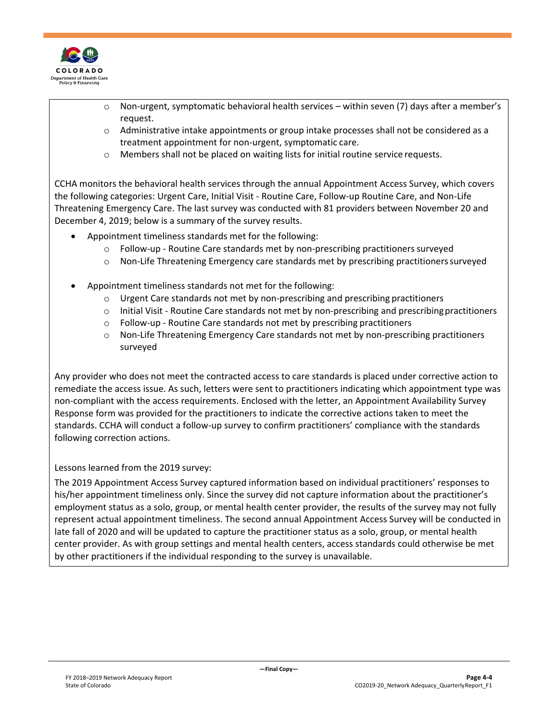

- $\circ$  Non-urgent, symptomatic behavioral health services within seven (7) days after a member's request.
- o Administrative intake appointments or group intake processes shall not be considered as a treatment appointment for non-urgent, symptomatic care.
- o Members shall not be placed on waiting lists for initial routine service requests.

CCHA monitors the behavioral health services through the annual Appointment Access Survey, which covers the following categories: Urgent Care, Initial Visit - Routine Care, Follow-up Routine Care, and Non-Life Threatening Emergency Care. The last survey was conducted with 81 providers between November 20 and December 4, 2019; below is a summary of the survey results.

- Appointment timeliness standards met for the following:
	- $\circ$  Follow-up Routine Care standards met by non-prescribing practitioners surveyed
	- o Non-Life Threatening Emergency care standards met by prescribing practitionerssurveyed
- Appointment timeliness standards not met for the following:
	- $\circ$  Urgent Care standards not met by non-prescribing and prescribing practitioners
	- $\circ$  Initial Visit Routine Care standards not met by non-prescribing and prescribing practitioners
	- o Follow-up Routine Care standards not met by prescribing practitioners
	- o Non-Life Threatening Emergency Care standards not met by non-prescribing practitioners surveyed

Any provider who does not meet the contracted access to care standards is placed under corrective action to remediate the access issue. As such, letters were sent to practitioners indicating which appointment type was non-compliant with the access requirements. Enclosed with the letter, an Appointment Availability Survey Response form was provided for the practitioners to indicate the corrective actions taken to meet the standards. CCHA will conduct a follow-up survey to confirm practitioners' compliance with the standards following correction actions.

#### Lessons learned from the 2019 survey:

The 2019 Appointment Access Survey captured information based on individual practitioners' responses to his/her appointment timeliness only. Since the survey did not capture information about the practitioner's employment status as a solo, group, or mental health center provider, the results of the survey may not fully represent actual appointment timeliness. The second annual Appointment Access Survey will be conducted in late fall of 2020 and will be updated to capture the practitioner status as a solo, group, or mental health center provider. As with group settings and mental health centers, access standards could otherwise be met by other practitioners if the individual responding to the survey is unavailable.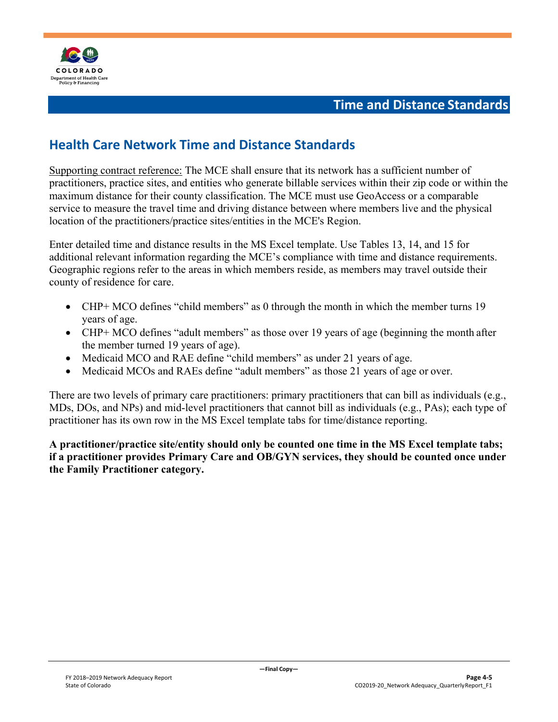

## **Time and Distance Standards**

## <span id="page-19-1"></span><span id="page-19-0"></span>**Health Care Network Time and Distance Standards**

Supporting contract reference: The MCE shall ensure that its network has a sufficient number of practitioners, practice sites, and entities who generate billable services within their zip code or within the maximum distance for their county classification. The MCE must use GeoAccess or a comparable service to measure the travel time and driving distance between where members live and the physical location of the practitioners/practice sites/entities in the MCE's Region.

Enter detailed time and distance results in the MS Excel template. Use Tables 13, 14, and 15 for additional relevant information regarding the MCE's compliance with time and distance requirements. Geographic regions refer to the areas in which members reside, as members may travel outside their county of residence for care.

- CHP+ MCO defines "child members" as 0 through the month in which the member turns 19 years of age.
- CHP+ MCO defines "adult members" as those over 19 years of age (beginning the month after the member turned 19 years of age).
- Medicaid MCO and RAE define "child members" as under 21 years of age.
- Medicaid MCOs and RAEs define "adult members" as those 21 years of age or over.

There are two levels of primary care practitioners: primary practitioners that can bill as individuals (e.g., MDs, DOs, and NPs) and mid-level practitioners that cannot bill as individuals (e.g., PAs); each type of practitioner has its own row in the MS Excel template tabs for time/distance reporting.

**A practitioner/practice site/entity should only be counted one time in the MS Excel template tabs; if a practitioner provides Primary Care and OB/GYN services, they should be counted once under the Family Practitioner category.**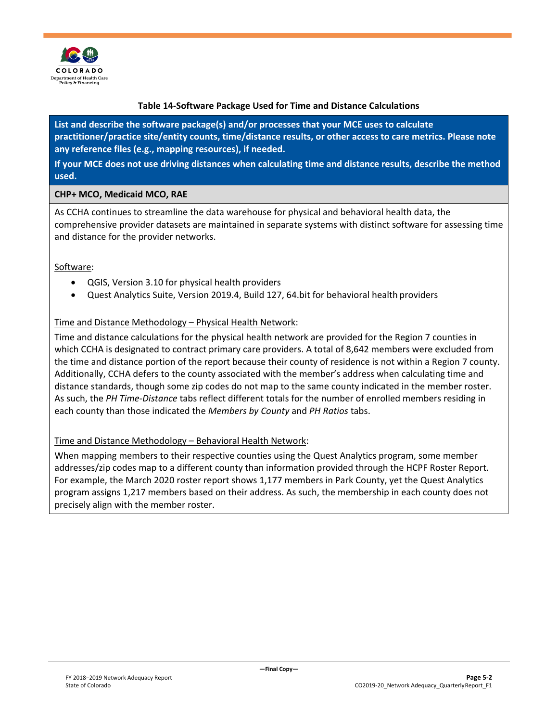

#### **Table 14-Software Package Used for Time and Distance Calculations**

**List and describe the software package(s) and/or processes that your MCE uses to calculate practitioner/practice site/entity counts, time/distance results, or other access to care metrics. Please note any reference files (e.g., mapping resources), if needed.**

**If your MCE does not use driving distances when calculating time and distance results, describe the method used.**

#### **CHP+ MCO, Medicaid MCO, RAE**

As CCHA continues to streamline the data warehouse for physical and behavioral health data, the comprehensive provider datasets are maintained in separate systems with distinct software for assessing time and distance for the provider networks.

Software:

- QGIS, Version 3.10 for physical health providers
- Quest Analytics Suite, Version 2019.4, Build 127, 64.bit for behavioral health providers

#### Time and Distance Methodology – Physical Health Network:

Time and distance calculations for the physical health network are provided for the Region 7 counties in which CCHA is designated to contract primary care providers. A total of 8,642 members were excluded from the time and distance portion of the report because their county of residence is not within a Region 7 county. Additionally, CCHA defers to the county associated with the member's address when calculating time and distance standards, though some zip codes do not map to the same county indicated in the member roster. As such, the *PH Time-Distance* tabs reflect different totals for the number of enrolled members residing in each county than those indicated the *Members by County* and *PH Ratios* tabs.

#### Time and Distance Methodology – Behavioral Health Network:

When mapping members to their respective counties using the Quest Analytics program, some member addresses/zip codes map to a different county than information provided through the HCPF Roster Report. For example, the March 2020 roster report shows 1,177 members in Park County, yet the Quest Analytics program assigns 1,217 members based on their address. As such, the membership in each county does not precisely align with the member roster.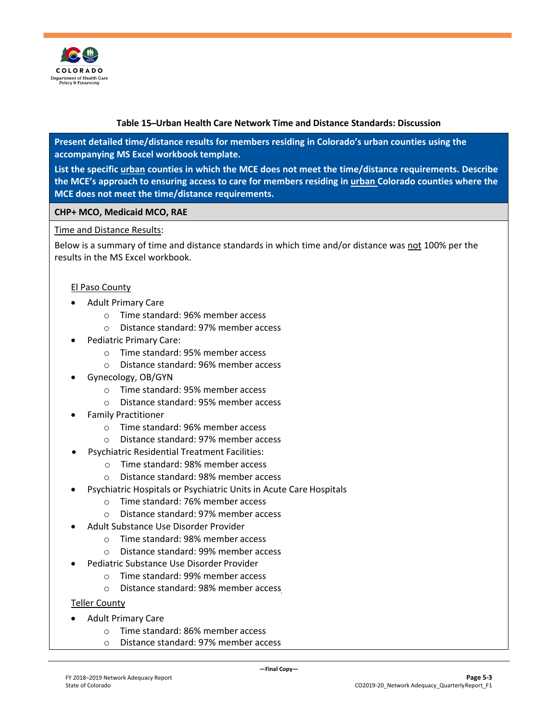

#### **Table 15 ̶Urban Health Care Network Time and Distance Standards: Discussion**

**Present detailed time/distance results for members residing in Colorado's urban counties using the accompanying MS Excel workbook template.**

**List the specific urban counties in which the MCE does not meet the time/distance requirements. Describe the MCE's approach to ensuring access to care for members residing in urban Colorado counties where the MCE does not meet the time/distance requirements.**

#### **CHP+ MCO, Medicaid MCO, RAE**

#### Time and Distance Results:

Below is a summary of time and distance standards in which time and/or distance was not 100% per the results in the MS Excel workbook.

#### El Paso County

- Adult Primary Care
	- o Time standard: 96% member access
	- o Distance standard: 97% member access
- Pediatric Primary Care:
	- o Time standard: 95% member access
	- o Distance standard: 96% member access
- Gynecology, OB/GYN
	- o Time standard: 95% member access
	- o Distance standard: 95% member access
- Family Practitioner
	- o Time standard: 96% member access
	- o Distance standard: 97% member access
- Psychiatric Residential Treatment Facilities:
	- o Time standard: 98% member access
	- o Distance standard: 98% member access
- Psychiatric Hospitals or Psychiatric Units in Acute Care Hospitals
	- o Time standard: 76% member access
	- o Distance standard: 97% member access
- Adult Substance Use Disorder Provider
	- o Time standard: 98% member access
	- o Distance standard: 99% member access
- Pediatric Substance Use Disorder Provider
	- o Time standard: 99% member access
	- o Distance standard: 98% member access

Teller County

- Adult Primary Care
	- o Time standard: 86% member access
	- o Distance standard: 97% member access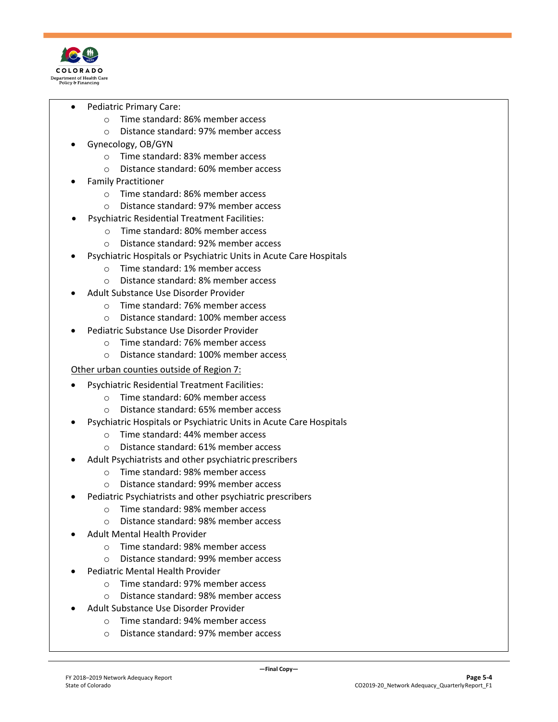

- Pediatric Primary Care:
	- o Time standard: 86% member access
	- o Distance standard: 97% member access
- Gynecology, OB/GYN
	- o Time standard: 83% member access
	- o Distance standard: 60% member access
- Family Practitioner
	- o Time standard: 86% member access
	- o Distance standard: 97% member access
- Psychiatric Residential Treatment Facilities:
	- o Time standard: 80% member access
	- o Distance standard: 92% member access
- Psychiatric Hospitals or Psychiatric Units in Acute Care Hospitals
	- o Time standard: 1% member access
	- o Distance standard: 8% member access
- Adult Substance Use Disorder Provider
	- o Time standard: 76% member access
	- o Distance standard: 100% member access
- Pediatric Substance Use Disorder Provider
	- o Time standard: 76% member access
	- o Distance standard: 100% member access

#### Other urban counties outside of Region 7:

- Psychiatric Residential Treatment Facilities:
	- o Time standard: 60% member access
	- o Distance standard: 65% member access
- Psychiatric Hospitals or Psychiatric Units in Acute Care Hospitals
	- o Time standard: 44% member access
	- o Distance standard: 61% member access
- Adult Psychiatrists and other psychiatric prescribers
	- o Time standard: 98% member access
	- o Distance standard: 99% member access
- Pediatric Psychiatrists and other psychiatric prescribers
	- o Time standard: 98% member access
	- o Distance standard: 98% member access
- Adult Mental Health Provider
	- o Time standard: 98% member access
	- o Distance standard: 99% member access
- Pediatric Mental Health Provider
	- o Time standard: 97% member access
	- o Distance standard: 98% member access
- Adult Substance Use Disorder Provider
	- o Time standard: 94% member access
	- o Distance standard: 97% member access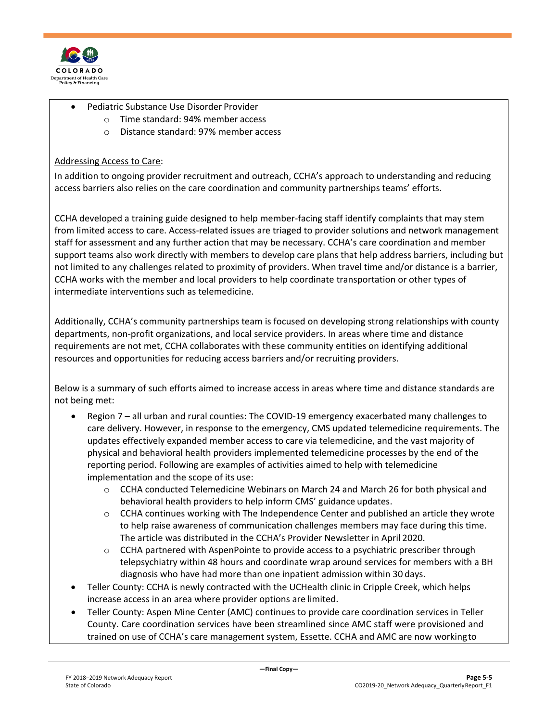

- Pediatric Substance Use Disorder Provider
	- o Time standard: 94% member access
	- o Distance standard: 97% member access

#### Addressing Access to Care:

In addition to ongoing provider recruitment and outreach, CCHA's approach to understanding and reducing access barriers also relies on the care coordination and community partnerships teams' efforts.

CCHA developed a training guide designed to help member-facing staff identify complaints that may stem from limited access to care. Access-related issues are triaged to provider solutions and network management staff for assessment and any further action that may be necessary. CCHA's care coordination and member support teams also work directly with members to develop care plans that help address barriers, including but not limited to any challenges related to proximity of providers. When travel time and/or distance is a barrier, CCHA works with the member and local providers to help coordinate transportation or other types of intermediate interventions such as telemedicine.

Additionally, CCHA's community partnerships team is focused on developing strong relationships with county departments, non-profit organizations, and local service providers. In areas where time and distance requirements are not met, CCHA collaborates with these community entities on identifying additional resources and opportunities for reducing access barriers and/or recruiting providers.

Below is a summary of such efforts aimed to increase access in areas where time and distance standards are not being met:

- Region 7 all urban and rural counties: The COVID-19 emergency exacerbated many challenges to care delivery. However, in response to the emergency, CMS updated telemedicine requirements. The updates effectively expanded member access to care via telemedicine, and the vast majority of physical and behavioral health providers implemented telemedicine processes by the end of the reporting period. Following are examples of activities aimed to help with telemedicine implementation and the scope of its use:
	- o CCHA conducted Telemedicine Webinars on March 24 and March 26 for both physical and behavioral health providers to help inform CMS' guidance updates.
	- $\circ$  CCHA continues working with The Independence Center and published an article they wrote to help raise awareness of communication challenges members may face during this time. The article was distributed in the CCHA's Provider Newsletter in April 2020.
	- o CCHA partnered with AspenPointe to provide access to a psychiatric prescriber through telepsychiatry within 48 hours and coordinate wrap around services for members with a BH diagnosis who have had more than one inpatient admission within 30 days.
- Teller County: CCHA is newly contracted with the UCHealth clinic in Cripple Creek, which helps increase access in an area where provider options are limited.
- Teller County: Aspen Mine Center (AMC) continues to provide care coordination services in Teller County. Care coordination services have been streamlined since AMC staff were provisioned and trained on use of CCHA's care management system, Essette. CCHA and AMC are now workingto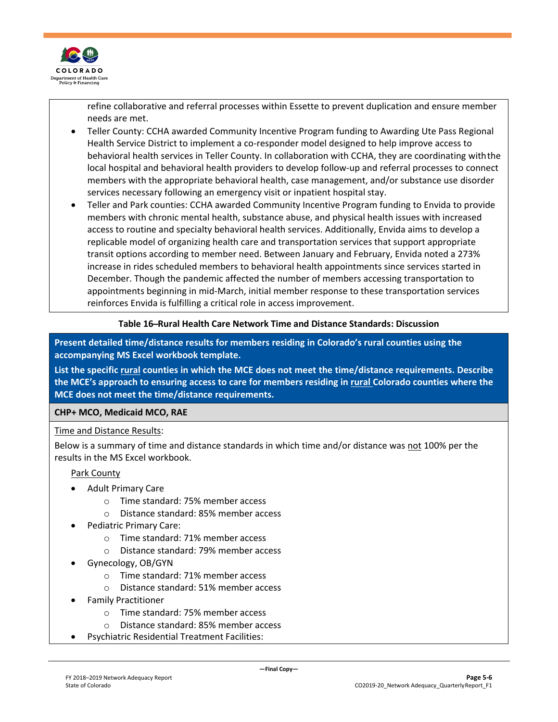

refine collaborative and referral processes within Essette to prevent duplication and ensure member needs are met.

- Teller County: CCHA awarded Community Incentive Program funding to Awarding Ute Pass Regional Health Service District to implement a co-responder model designed to help improve access to behavioral health services in Teller County. In collaboration with CCHA, they are coordinating withthe local hospital and behavioral health providers to develop follow-up and referral processes to connect members with the appropriate behavioral health, case management, and/or substance use disorder services necessary following an emergency visit or inpatient hospital stay.
- Teller and Park counties: CCHA awarded Community Incentive Program funding to Envida to provide members with chronic mental health, substance abuse, and physical health issues with increased access to routine and specialty behavioral health services. Additionally, Envida aims to develop a replicable model of organizing health care and transportation services that support appropriate transit options according to member need. Between January and February, Envida noted a 273% increase in rides scheduled members to behavioral health appointments since services started in December. Though the pandemic affected the number of members accessing transportation to appointments beginning in mid-March, initial member response to these transportation services reinforces Envida is fulfilling a critical role in access improvement.

#### **Table 16 ̶Rural Health Care Network Time and Distance Standards: Discussion**

**Present detailed time/distance results for members residing in Colorado's rural counties using the accompanying MS Excel workbook template.**

**List the specific rural counties in which the MCE does not meet the time/distance requirements. Describe the MCE's approach to ensuring access to care for members residing in rural Colorado counties where the MCE does not meet the time/distance requirements.**

#### **CHP+ MCO, Medicaid MCO, RAE**

Time and Distance Results:

Below is a summary of time and distance standards in which time and/or distance was not 100% per the results in the MS Excel workbook.

Park County

- Adult Primary Care
	- o Time standard: 75% member access
	- o Distance standard: 85% member access
- Pediatric Primary Care:
	- o Time standard: 71% member access
	- o Distance standard: 79% member access
- Gynecology, OB/GYN
	- o Time standard: 71% member access
	- o Distance standard: 51% member access
- Family Practitioner
	- o Time standard: 75% member access
	- o Distance standard: 85% member access
- Psychiatric Residential Treatment Facilities: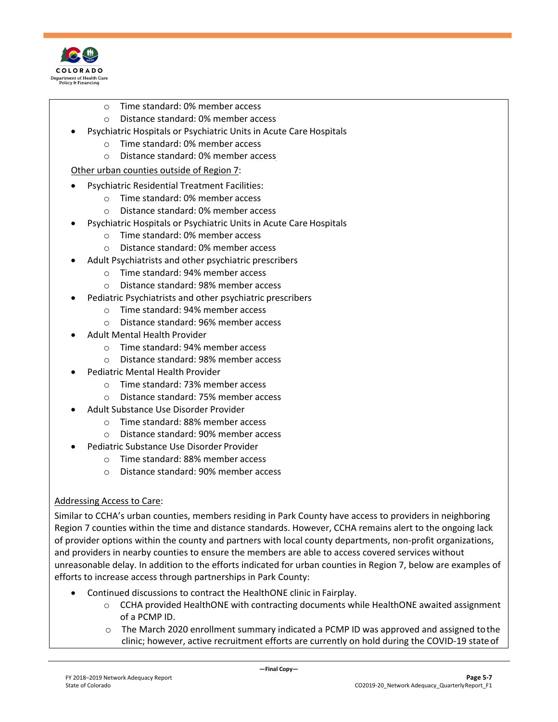

- o Time standard: 0% member access
- o Distance standard: 0% member access
- Psychiatric Hospitals or Psychiatric Units in Acute Care Hospitals
	- o Time standard: 0% member access
	- o Distance standard: 0% member access

#### Other urban counties outside of Region 7:

- Psychiatric Residential Treatment Facilities:
	- o Time standard: 0% member access
	- o Distance standard: 0% member access
- Psychiatric Hospitals or Psychiatric Units in Acute Care Hospitals
	- o Time standard: 0% member access
	- o Distance standard: 0% member access
- Adult Psychiatrists and other psychiatric prescribers
	- o Time standard: 94% member access
	- o Distance standard: 98% member access
- Pediatric Psychiatrists and other psychiatric prescribers
	- o Time standard: 94% member access
	- o Distance standard: 96% member access
- Adult Mental Health Provider
	- o Time standard: 94% member access
	- o Distance standard: 98% member access
- Pediatric Mental Health Provider
	- o Time standard: 73% member access
	- o Distance standard: 75% member access
- Adult Substance Use Disorder Provider
	- o Time standard: 88% member access
	- o Distance standard: 90% member access
	- Pediatric Substance Use Disorder Provider
		- o Time standard: 88% member access
		- o Distance standard: 90% member access

#### Addressing Access to Care:

Similar to CCHA's urban counties, members residing in Park County have access to providers in neighboring Region 7 counties within the time and distance standards. However, CCHA remains alert to the ongoing lack of provider options within the county and partners with local county departments, non-profit organizations, and providers in nearby counties to ensure the members are able to access covered services without unreasonable delay. In addition to the efforts indicated for urban counties in Region 7, below are examples of efforts to increase access through partnerships in Park County:

- Continued discussions to contract the HealthONE clinic in Fairplay.
	- $\circ$  CCHA provided HealthONE with contracting documents while HealthONE awaited assignment of a PCMP ID.
	- $\circ$  The March 2020 enrollment summary indicated a PCMP ID was approved and assigned to the clinic; however, active recruitment efforts are currently on hold during the COVID-19 stateof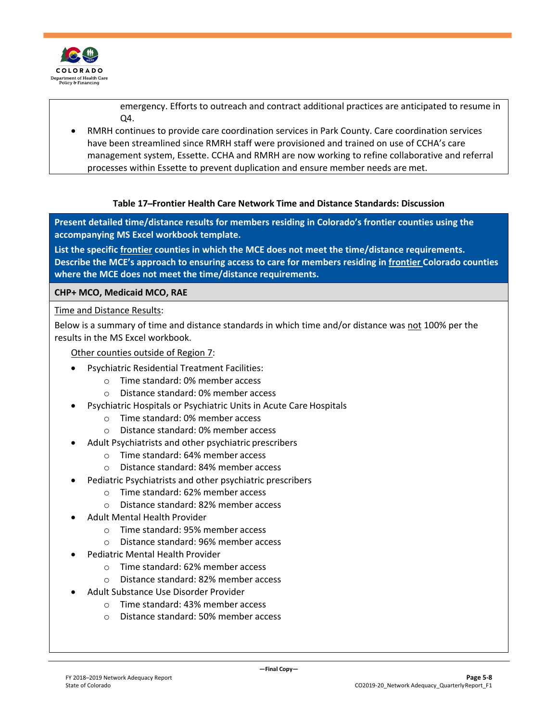

emergency. Efforts to outreach and contract additional practices are anticipated to resume in  $\Omega$ 

• RMRH continues to provide care coordination services in Park County. Care coordination services have been streamlined since RMRH staff were provisioned and trained on use of CCHA's care management system, Essette. CCHA and RMRH are now working to refine collaborative and referral processes within Essette to prevent duplication and ensure member needs are met.

#### **Table 17 ̶Frontier Health Care Network Time and Distance Standards: Discussion**

**Present detailed time/distance results for members residing in Colorado's frontier counties using the accompanying MS Excel workbook template.**

**List the specific frontier counties in which the MCE does not meet the time/distance requirements. Describe the MCE's approach to ensuring access to care for members residing in frontier Colorado counties where the MCE does not meet the time/distance requirements.**

**CHP+ MCO, Medicaid MCO, RAE**

Time and Distance Results:

Below is a summary of time and distance standards in which time and/or distance was not 100% per the results in the MS Excel workbook.

Other counties outside of Region 7:

- Psychiatric Residential Treatment Facilities:
	- o Time standard: 0% member access
	- o Distance standard: 0% member access
- Psychiatric Hospitals or Psychiatric Units in Acute Care Hospitals
	- o Time standard: 0% member access
	- o Distance standard: 0% member access
- Adult Psychiatrists and other psychiatric prescribers
	- o Time standard: 64% member access
	- o Distance standard: 84% member access
- Pediatric Psychiatrists and other psychiatric prescribers
	- o Time standard: 62% member access
	- o Distance standard: 82% member access
- Adult Mental Health Provider
	- o Time standard: 95% member access
	- o Distance standard: 96% member access
- Pediatric Mental Health Provider
	- o Time standard: 62% member access
	- o Distance standard: 82% member access
- Adult Substance Use Disorder Provider
	- o Time standard: 43% member access
	- o Distance standard: 50% member access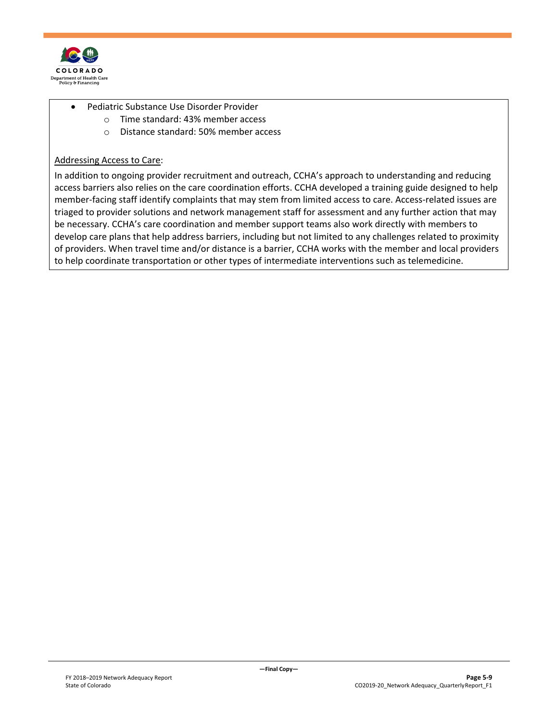

- Pediatric Substance Use Disorder Provider
	- o Time standard: 43% member access
	- o Distance standard: 50% member access

#### Addressing Access to Care:

In addition to ongoing provider recruitment and outreach, CCHA's approach to understanding and reducing access barriers also relies on the care coordination efforts. CCHA developed a training guide designed to help member-facing staff identify complaints that may stem from limited access to care. Access-related issues are triaged to provider solutions and network management staff for assessment and any further action that may be necessary. CCHA's care coordination and member support teams also work directly with members to develop care plans that help address barriers, including but not limited to any challenges related to proximity of providers. When travel time and/or distance is a barrier, CCHA works with the member and local providers to help coordinate transportation or other types of intermediate interventions such as telemedicine.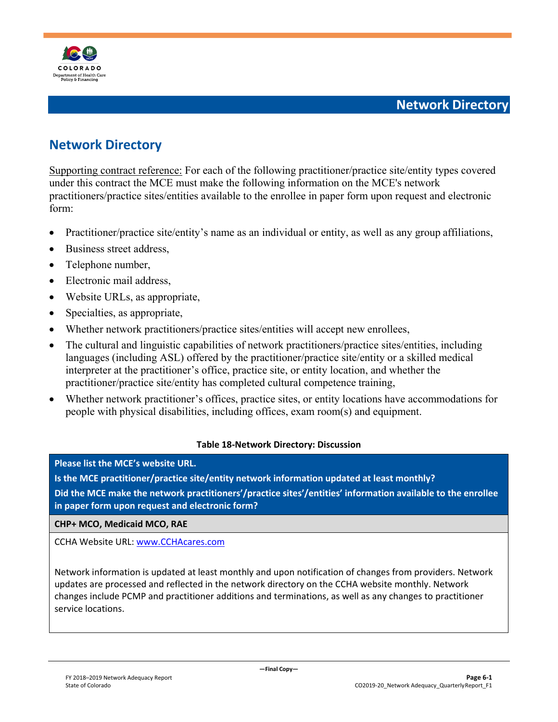

## <span id="page-28-1"></span><span id="page-28-0"></span>**Network Directory**

Supporting contract reference: For each of the following practitioner/practice site/entity types covered under this contract the MCE must make the following information on the MCE's network practitioners/practice sites/entities available to the enrollee in paper form upon request and electronic form:

- Practitioner/practice site/entity's name as an individual or entity, as well as any group affiliations,
- Business street address.
- Telephone number,
- Electronic mail address,
- Website URLs, as appropriate,
- Specialties, as appropriate,
- Whether network practitioners/practice sites/entities will accept new enrollees,
- The cultural and linguistic capabilities of network practitioners/practice sites/entities, including languages (including ASL) offered by the practitioner/practice site/entity or a skilled medical interpreter at the practitioner's office, practice site, or entity location, and whether the practitioner/practice site/entity has completed cultural competence training,
- Whether network practitioner's offices, practice sites, or entity locations have accommodations for people with physical disabilities, including offices, exam room(s) and equipment.

#### **Table 18-Network Directory: Discussion**

**Please list the MCE's website URL.**

**Is the MCE practitioner/practice site/entity network information updated at least monthly? Did the MCE make the network practitioners'/practice sites'/entities' information available to the enrollee in paper form upon request and electronic form?**

**CHP+ MCO, Medicaid MCO, RAE**

CCHA Website URL: [www.CCHAcares.com](http://www.cchacares.com/)

Network information is updated at least monthly and upon notification of changes from providers. Network updates are processed and reflected in the network directory on the CCHA website monthly. Network changes include PCMP and practitioner additions and terminations, as well as any changes to practitioner service locations.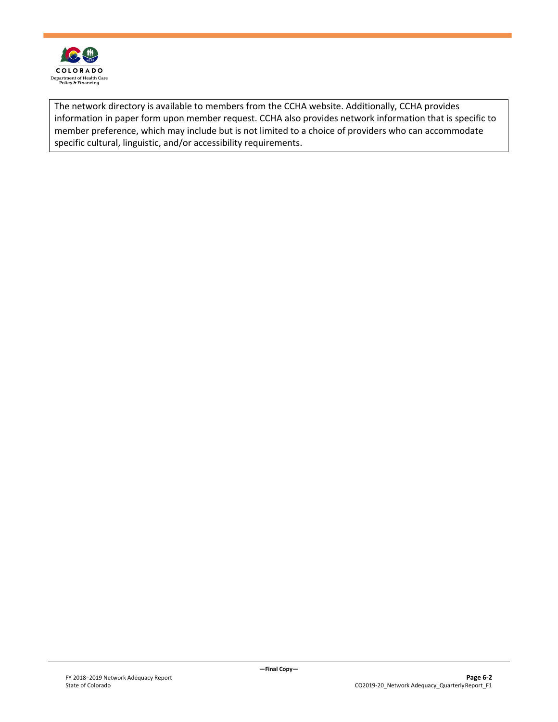

The network directory is available to members from the CCHA website. Additionally, CCHA provides information in paper form upon member request. CCHA also provides network information that is specific to member preference, which may include but is not limited to a choice of providers who can accommodate specific cultural, linguistic, and/or accessibility requirements.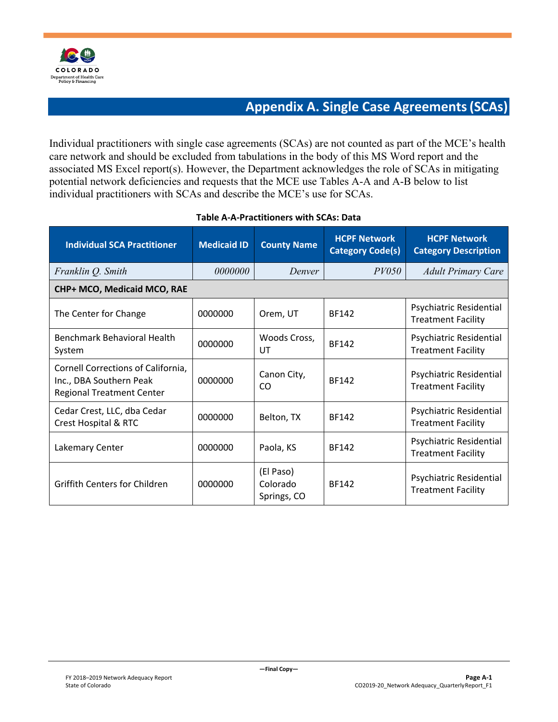

## **Appendix A. Single Case Agreements(SCAs)**

<span id="page-30-0"></span>Individual practitioners with single case agreements (SCAs) are not counted as part of the MCE's health care network and should be excluded from tabulations in the body of this MS Word report and the associated MS Excel report(s). However, the Department acknowledges the role of SCAs in mitigating potential network deficiencies and requests that the MCE use Tables A-A and A-B below to list individual practitioners with SCAs and describe the MCE's use for SCAs.

| <b>Individual SCA Practitioner</b>                                                                | <b>Medicaid ID</b> | <b>County Name</b>                   | <b>HCPF Network</b><br><b>Category Code(s)</b> | <b>HCPF Network</b><br><b>Category Description</b>   |
|---------------------------------------------------------------------------------------------------|--------------------|--------------------------------------|------------------------------------------------|------------------------------------------------------|
| Franklin Q. Smith                                                                                 | <i>0000000</i>     | Denver                               | PV050                                          | <b>Adult Primary Care</b>                            |
| CHP+ MCO, Medicaid MCO, RAE                                                                       |                    |                                      |                                                |                                                      |
| The Center for Change                                                                             | 0000000            | Orem, UT                             | <b>BF142</b>                                   | Psychiatric Residential<br><b>Treatment Facility</b> |
| Benchmark Behavioral Health<br>System                                                             | 0000000            | Woods Cross,<br>UT                   | <b>BF142</b>                                   | Psychiatric Residential<br><b>Treatment Facility</b> |
| Cornell Corrections of California,<br>Inc., DBA Southern Peak<br><b>Regional Treatment Center</b> | 0000000            | Canon City,<br>CO                    | <b>BF142</b>                                   | Psychiatric Residential<br><b>Treatment Facility</b> |
| Cedar Crest, LLC, dba Cedar<br><b>Crest Hospital &amp; RTC</b>                                    | 0000000            | Belton, TX                           | <b>BF142</b>                                   | Psychiatric Residential<br><b>Treatment Facility</b> |
| Lakemary Center                                                                                   | 0000000            | Paola, KS                            | <b>BF142</b>                                   | Psychiatric Residential<br><b>Treatment Facility</b> |
| <b>Griffith Centers for Children</b>                                                              | 0000000            | (El Paso)<br>Colorado<br>Springs, CO | <b>BF142</b>                                   | Psychiatric Residential<br><b>Treatment Facility</b> |

#### **Table A-A-Practitioners with SCAs: Data**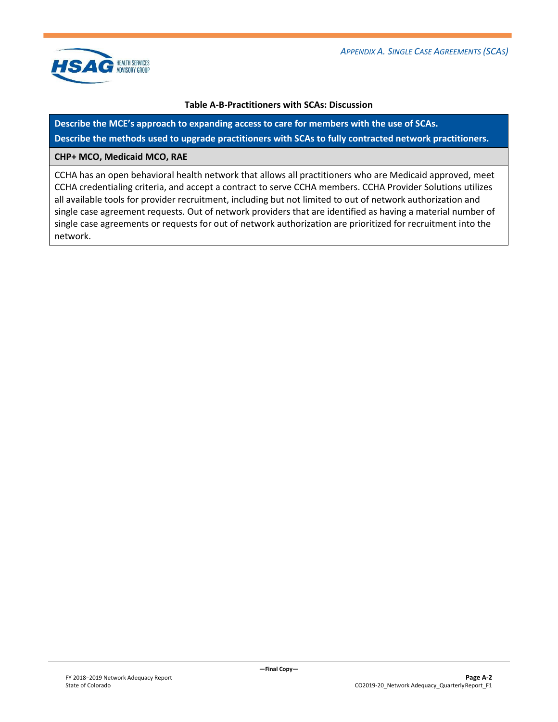

#### **Table A-B-Practitioners with SCAs: Discussion**

**Describe the MCE's approach to expanding access to care for members with the use of SCAs. Describe the methods used to upgrade practitioners with SCAs to fully contracted network practitioners.**

#### **CHP+ MCO, Medicaid MCO, RAE**

CCHA has an open behavioral health network that allows all practitioners who are Medicaid approved, meet CCHA credentialing criteria, and accept a contract to serve CCHA members. CCHA Provider Solutions utilizes all available tools for provider recruitment, including but not limited to out of network authorization and single case agreement requests. Out of network providers that are identified as having a material number of single case agreements or requests for out of network authorization are prioritized for recruitment into the network.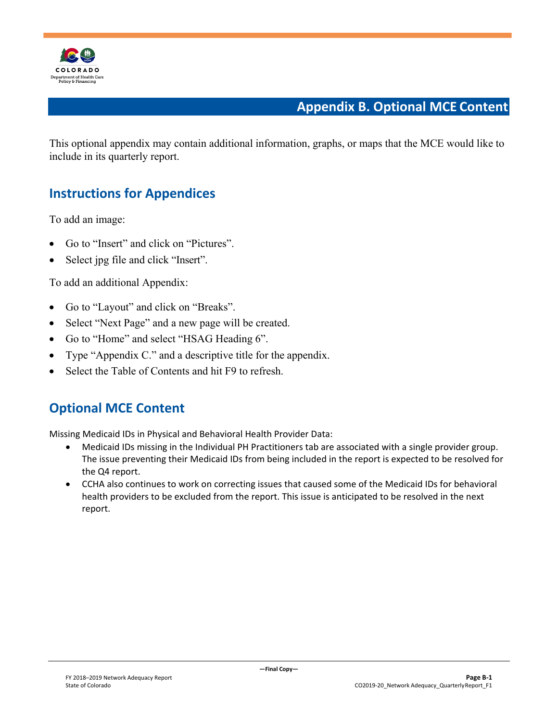

## **Appendix B. Optional MCE Content**

<span id="page-32-2"></span>This optional appendix may contain additional information, graphs, or maps that the MCE would like to include in its quarterly report.

## <span id="page-32-0"></span>**Instructions for Appendices**

To add an image:

- Go to "Insert" and click on "Pictures".
- Select jpg file and click "Insert".

To add an additional Appendix:

- Go to "Layout" and click on "Breaks".
- Select "Next Page" and a new page will be created.
- Go to "Home" and select "HSAG Heading 6".
- Type "Appendix C." and a descriptive title for the appendix.
- Select the Table of Contents and hit F9 to refresh.

## <span id="page-32-1"></span>**Optional MCE Content**

Missing Medicaid IDs in Physical and Behavioral Health Provider Data:

- Medicaid IDs missing in the Individual PH Practitioners tab are associated with a single provider group. The issue preventing their Medicaid IDs from being included in the report is expected to be resolved for the Q4 report.
- CCHA also continues to work on correcting issues that caused some of the Medicaid IDs for behavioral health providers to be excluded from the report. This issue is anticipated to be resolved in the next report.